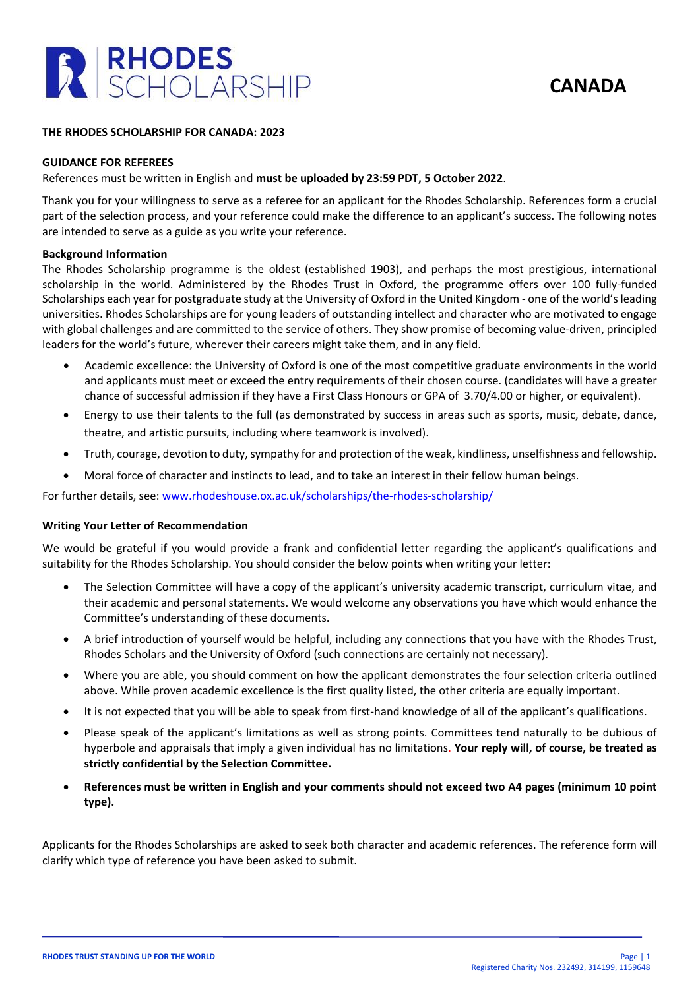

**CANADA**

### **THE RHODES SCHOLARSHIP FOR CANADA: 2023**

#### **GUIDANCE FOR REFEREES**

## References must be written in English and **must be uploaded by 23:59 PDT, 5 October 2022**.

Thank you for your willingness to serve as a referee for an applicant for the Rhodes Scholarship. References form a crucial part of the selection process, and your reference could make the difference to an applicant's success. The following notes are intended to serve as a guide as you write your reference.

#### **Background Information**

The Rhodes Scholarship programme is the oldest (established 1903), and perhaps the most prestigious, international scholarship in the world. Administered by the Rhodes Trust in Oxford, the programme offers over 100 fully-funded Scholarships each year for postgraduate study at the University of Oxford in the United Kingdom - one of the world's leading universities. Rhodes Scholarships are for young leaders of outstanding intellect and character who are motivated to engage with global challenges and are committed to the service of others. They show promise of becoming value-driven, principled leaders for the world's future, wherever their careers might take them, and in any field.

- Academic excellence: the University of Oxford is one of the most competitive graduate environments in the world and applicants must meet or exceed the entry requirements of their chosen course. (candidates will have a greater chance of successful admission if they have a First Class Honours or GPA of 3.70/4.00 or higher, or equivalent).
- Energy to use their talents to the full (as demonstrated by success in areas such as sports, music, debate, dance, theatre, and artistic pursuits, including where teamwork is involved).
- Truth, courage, devotion to duty, sympathy for and protection of the weak, kindliness, unselfishness and fellowship.
- Moral force of character and instincts to lead, and to take an interest in their fellow human beings.

For further details, see: [www.rhodeshouse.ox.ac.uk/scholarships/the-rhodes-scholarship/](http://www.rhodeshouse.ox.ac.uk/scholarships/the-rhodes-scholarship/)

### **Writing Your Letter of Recommendation**

We would be grateful if you would provide a frank and confidential letter regarding the applicant's qualifications and suitability for the Rhodes Scholarship. You should consider the below points when writing your letter:

- The Selection Committee will have a copy of the applicant's university academic transcript, curriculum vitae, and their academic and personal statements. We would welcome any observations you have which would enhance the Committee's understanding of these documents.
- A brief introduction of yourself would be helpful, including any connections that you have with the Rhodes Trust, Rhodes Scholars and the University of Oxford (such connections are certainly not necessary).
- Where you are able, you should comment on how the applicant demonstrates the four selection criteria outlined above. While proven academic excellence is the first quality listed, the other criteria are equally important.
- It is not expected that you will be able to speak from first-hand knowledge of all of the applicant's qualifications.
- Please speak of the applicant's limitations as well as strong points. Committees tend naturally to be dubious of hyperbole and appraisals that imply a given individual has no limitations. **Your reply will, of course, be treated as strictly confidential by the Selection Committee.**
- **References must be written in English and your comments should not exceed two A4 pages (minimum 10 point type).**

Applicants for the Rhodes Scholarships are asked to seek both character and academic references. The reference form will clarify which type of reference you have been asked to submit.